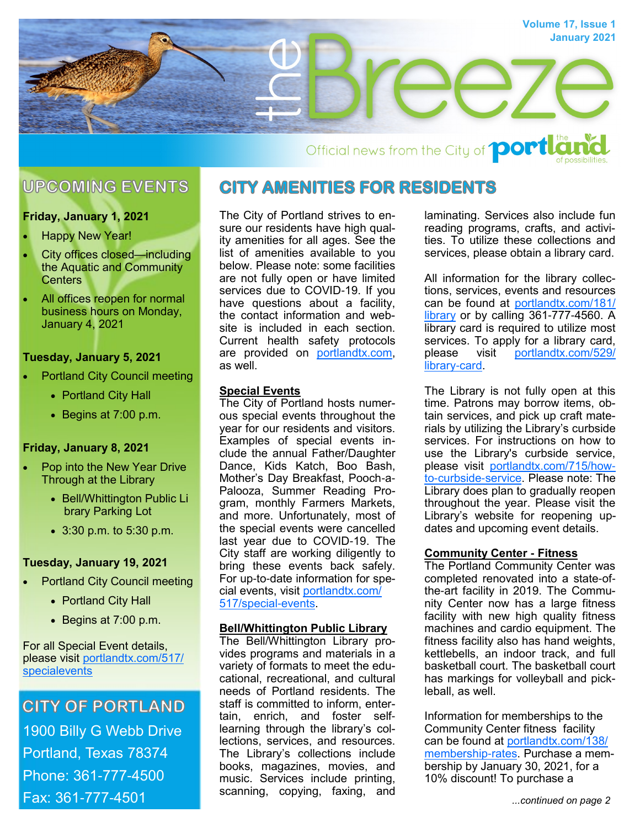

Official news from the City of **port Lat** 

## **UPCOMING EVENTS**

### **Friday, January 1, 2021**

- **Happy New Year!**
- City offices closed—including the Aquatic and Community **Centers**
- All offices reopen for normal business hours on Monday, January 4, 2021

### **Tuesday, January 5, 2021**

- Portland City Council meeting
	- Portland City Hall
	- Begins at 7:00 p.m.

### **Friday, January 8, 2021**

- Pop into the New Year Drive Through at the Library
	- Bell/Whittington Public Li brary Parking Lot
	- 3:30 p.m. to 5:30 p.m.

### **Tuesday, January 19, 2021**

- Portland City Council meeting
	- Portland City Hall
	- Begins at 7:00 p.m.

For all Special Event details, please visit [portlandtx.com/517/](http://portlandtx.com/517/Special-Events) [specialevents](http://portlandtx.com/517/Special-Events)

# **CITY OF PORTLAND** 1900 Billy G Webb Drive Portland, Texas 78374 Phone: 361-777-4500 Fax: 361-777-4501

### **CITY AMENITIES FOR RESIDENTS**

The City of Portland strives to ensure our residents have high quality amenities for all ages. See the list of amenities available to you below. Please note: some facilities are not fully open or have limited services due to COVID-19. If you have questions about a facility, the contact information and website is included in each section. Current health safety protocols are provided on [portlandtx.com,](portlandtx.com) as well.

### **Special Events**

The City of Portland hosts numerous special events throughout the year for our residents and visitors. Examples of special events include the annual Father/Daughter Dance, Kids Katch, Boo Bash, Mother's Day Breakfast, Pooch-a-Palooza, Summer Reading Program, monthly Farmers Markets, and more. Unfortunately, most of the special events were cancelled last year due to COVID-19. The City staff are working diligently to bring these events back safely. For up-to-date information for special events, visit [portlandtx.com/](http://portlandtx.com/517/Special-Events) [517/special-events.](http://portlandtx.com/517/Special-Events)

### **Bell/Whittington Public Library**

The Bell/Whittington Library provides programs and materials in a variety of formats to meet the educational, recreational, and cultural needs of Portland residents. The staff is committed to inform, entertain, enrich, and foster selflearning through the library's collections, services, and resources. The Library's collections include books, magazines, movies, and music. Services include printing, scanning, copying, faxing, and laminating. Services also include fun reading programs, crafts, and activities. To utilize these collections and services, please obtain a library card.

All information for the library collections, services, events and resources can be found at [portlandtx.com/181/](http://portlandtx.com/181/Library) [library](http://portlandtx.com/181/Library) or by calling 361-777-4560. A library card is required to utilize most services. To apply for a library card,<br>please visit portlandtx.com/529/ visit [portlandtx.com/529/](http://portlandtx.com/529/Library-Card) [library-card.](http://portlandtx.com/529/Library-Card)

The Library is not fully open at this time. Patrons may borrow items, obtain services, and pick up craft materials by utilizing the Library's curbside services. For instructions on how to use the Library's curbside service, please visit [portlandtx.com/715/how](http://portlandtx.com/715/How-to-Curbside-Service)[to-curbside-service.](http://portlandtx.com/715/How-to-Curbside-Service) Please note: The Library does plan to gradually reopen throughout the year. Please visit the Library's website for reopening updates and upcoming event details.

### **Community Center - Fitness**

The Portland Community Center was completed renovated into a state-ofthe-art facility in 2019. The Community Center now has a large fitness facility with new high quality fitness machines and cardio equipment. The fitness facility also has hand weights, kettlebells, an indoor track, and full basketball court. The basketball court has markings for volleyball and pickleball, as well.

Information for memberships to the Community Center fitness facility can be found at [portlandtx.com/138/](http://portlandtx.com/138/Membership-Rates) [membership-rates.](http://portlandtx.com/138/Membership-Rates) Purchase a membership by January 30, 2021, for a 10% discount! To purchase a